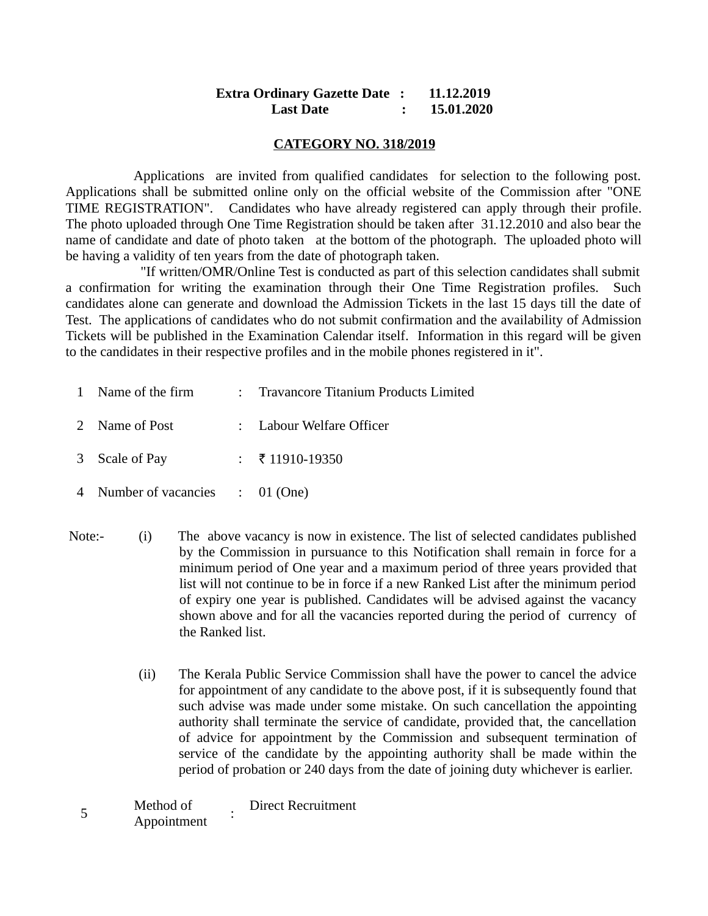## **Extra Ordinary Gazette Date : 11.12.2019 Last Date : 15.01.2020**

#### **CATEGORY NO. 318/2019**

 Applications are invited from qualified candidates for selection to the following post. Applications shall be submitted online only on the official website of the Commission after "ONE TIME REGISTRATION". Candidates who have already registered can apply through their profile. The photo uploaded through One Time Registration should be taken after 31.12.2010 and also bear the name of candidate and date of photo taken at the bottom of the photograph. The uploaded photo will be having a validity of ten years from the date of photograph taken.

 "If written/OMR/Online Test is conducted as part of this selection candidates shall submit a confirmation for writing the examination through their One Time Registration profiles. Such candidates alone can generate and download the Admission Tickets in the last 15 days till the date of Test. The applications of candidates who do not submit confirmation and the availability of Admission Tickets will be published in the Examination Calendar itself. Information in this regard will be given to the candidates in their respective profiles and in the mobile phones registered in it".

| 1 Name of the firm               | : Travancore Titanium Products Limited |
|----------------------------------|----------------------------------------|
| 2 Name of Post                   | : Labour Welfare Officer               |
| 3 Scale of Pay                   | $\frac{1}{2}$ ₹ 11910-19350            |
| 4 Number of vacancies : 01 (One) |                                        |

- Note:- (i) The above vacancy is now in existence. The list of selected candidates published by the Commission in pursuance to this Notification shall remain in force for a minimum period of One year and a maximum period of three years provided that list will not continue to be in force if a new Ranked List after the minimum period of expiry one year is published. Candidates will be advised against the vacancy shown above and for all the vacancies reported during the period of currency of the Ranked list.
	- (ii) The Kerala Public Service Commission shall have the power to cancel the advice for appointment of any candidate to the above post, if it is subsequently found that such advise was made under some mistake. On such cancellation the appointing authority shall terminate the service of candidate, provided that, the cancellation of advice for appointment by the Commission and subsequent termination of service of the candidate by the appointing authority shall be made within the period of probation or 240 days from the date of joining duty whichever is earlier.

| Method of   |  | <b>Direct Recruitment</b> |
|-------------|--|---------------------------|
| Appointment |  |                           |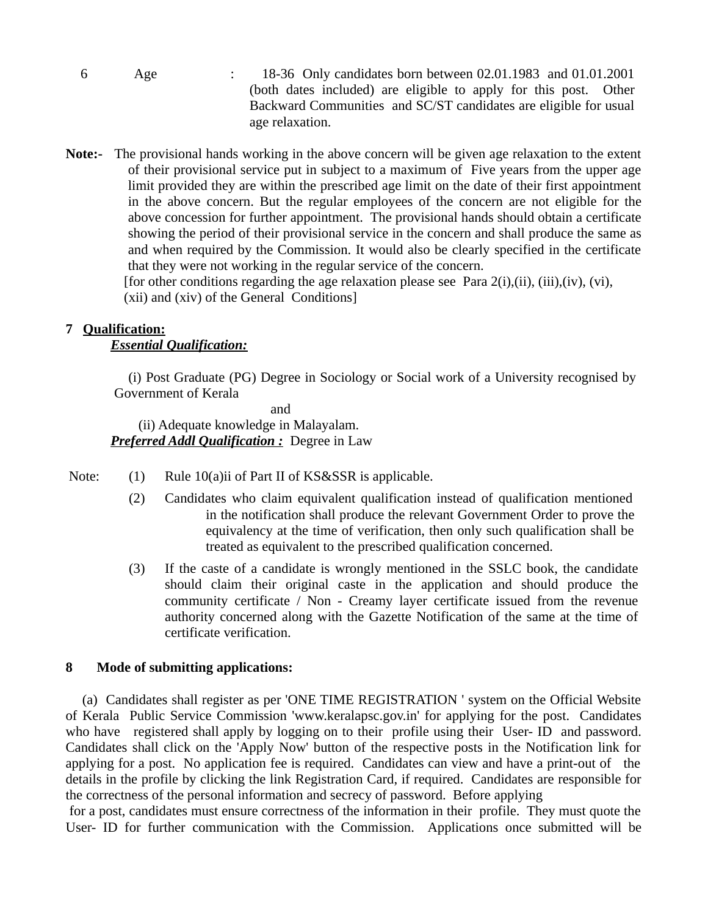- 6 Age : 18-36 Only candidates born between 02.01.1983 and 01.01.2001 (both dates included) are eligible to apply for this post. Other Backward Communities and SC/ST candidates are eligible for usual age relaxation.
- **Note:-** The provisional hands working in the above concern will be given age relaxation to the extent of their provisional service put in subject to a maximum of Five years from the upper age limit provided they are within the prescribed age limit on the date of their first appointment in the above concern. But the regular employees of the concern are not eligible for the above concession for further appointment. The provisional hands should obtain a certificate showing the period of their provisional service in the concern and shall produce the same as and when required by the Commission. It would also be clearly specified in the certificate that they were not working in the regular service of the concern. [for other conditions regarding the age relaxation please see Para  $2(i)$ , $(ii)$ ,  $(iii)$ , $(iv)$ ,  $(vi)$ ,

(xii) and (xiv) of the General Conditions]

#### **7 Qualification:**

## *Essential Qualification:*

 (i) Post Graduate (PG) Degree in Sociology or Social work of a University recognised by Government of Kerala

and (ii) Adequate knowledge in Malayalam. *Preferred Addl Qualification :* Degree in Law

Note: (1) Rule 10(a)ii of Part II of KS&SSR is applicable.

- (2) Candidates who claim equivalent qualification instead of qualification mentioned in the notification shall produce the relevant Government Order to prove the equivalency at the time of verification, then only such qualification shall be treated as equivalent to the prescribed qualification concerned.
- (3) If the caste of a candidate is wrongly mentioned in the SSLC book, the candidate should claim their original caste in the application and should produce the community certificate / Non - Creamy layer certificate issued from the revenue authority concerned along with the Gazette Notification of the same at the time of certificate verification.

## **8 Mode of submitting applications:**

 (a) Candidates shall register as per 'ONE TIME REGISTRATION ' system on the Official Website of Kerala Public Service Commission 'www.keralapsc.gov.in' for applying for the post. Candidates who have registered shall apply by logging on to their profile using their User- ID and password. Candidates shall click on the 'Apply Now' button of the respective posts in the Notification link for applying for a post. No application fee is required. Candidates can view and have a print-out of the details in the profile by clicking the link Registration Card, if required. Candidates are responsible for the correctness of the personal information and secrecy of password. Before applying

 for a post, candidates must ensure correctness of the information in their profile. They must quote the User- ID for further communication with the Commission. Applications once submitted will be